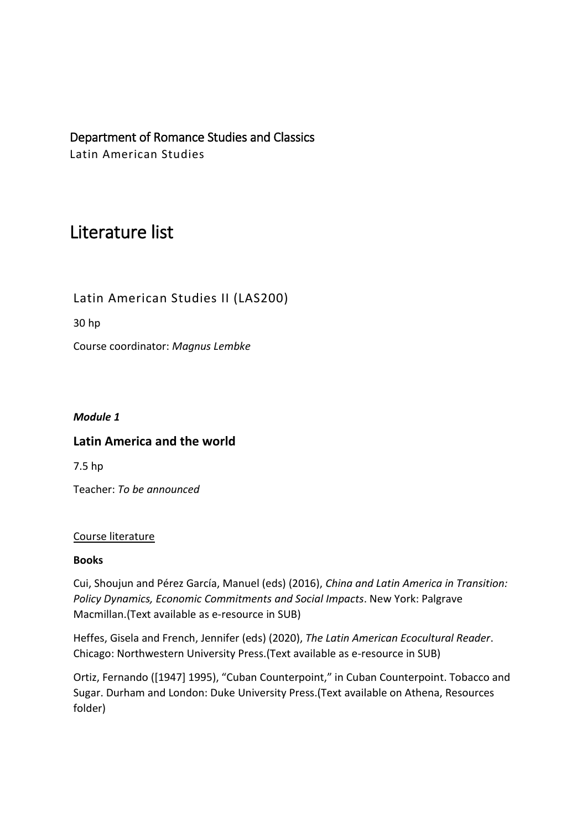Department of Romance Studies and Classics Latin American Studies

# Literature list

Latin American Studies II (LAS200)

30 hp

Course coordinator: *Magnus Lembke*

## *Module 1*

## **Latin America and the world**

7.5 hp

Teacher: *To be announced*

## Course literature

## **Books**

Cui, Shoujun and Pérez García, Manuel (eds) (2016), *China and Latin America in Transition: Policy Dynamics, Economic Commitments and Social Impacts*. New York: Palgrave Macmillan.(Text available as e-resource in SUB)

Heffes, Gisela and French, Jennifer (eds) (2020), *The Latin American Ecocultural Reader*. Chicago: Northwestern University Press.(Text available as e-resource in SUB)

Ortiz, Fernando ([1947] 1995), "Cuban Counterpoint," in Cuban Counterpoint. Tobacco and Sugar. Durham and London: Duke University Press.(Text available on Athena, Resources folder)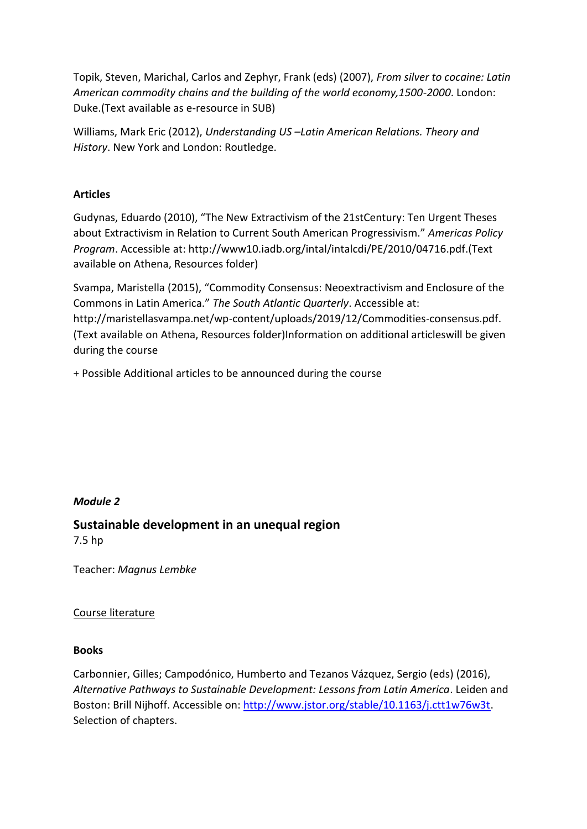Topik, Steven, Marichal, Carlos and Zephyr, Frank (eds) (2007), *From silver to cocaine: Latin American commodity chains and the building of the world economy,1500-2000*. London: Duke.(Text available as e-resource in SUB)

Williams, Mark Eric (2012), *Understanding US –Latin American Relations. Theory and History*. New York and London: Routledge.

## **Articles**

Gudynas, Eduardo (2010), "The New Extractivism of the 21stCentury: Ten Urgent Theses about Extractivism in Relation to Current South American Progressivism." *Americas Policy Program*. Accessible at: http://www10.iadb.org/intal/intalcdi/PE/2010/04716.pdf.(Text available on Athena, Resources folder)

Svampa, Maristella (2015), "Commodity Consensus: Neoextractivism and Enclosure of the Commons in Latin America." *The South Atlantic Quarterly*. Accessible at: http://maristellasvampa.net/wp-content/uploads/2019/12/Commodities-consensus.pdf. (Text available on Athena, Resources folder)Information on additional articleswill be given during the course

+ Possible Additional articles to be announced during the course

## *Module 2*

## **Sustainable development in an unequal region** 7.5 hp

Teacher: *Magnus Lembke*

## Course literature

#### **Books**

Carbonnier, Gilles; Campodónico, Humberto and Tezanos Vázquez, Sergio (eds) (2016), *Alternative Pathways to Sustainable Development: Lessons from Latin America*. Leiden and Boston: Brill Nijhoff. Accessible on[: http://www.jstor.org/stable/10.1163/j.ctt1w76w3t.](http://www.jstor.org/stable/10.1163/j.ctt1w76w3t) Selection of chapters.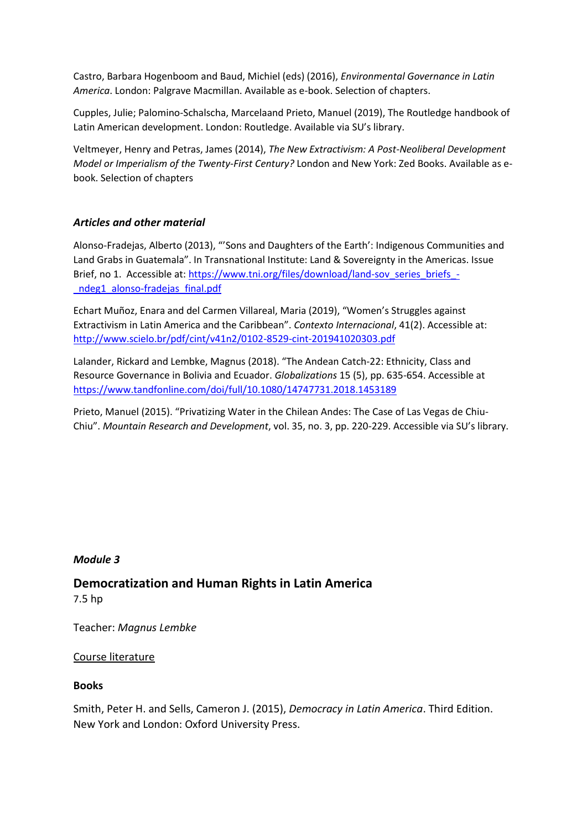Castro, Barbara Hogenboom and Baud, Michiel (eds) (2016), *Environmental Governance in Latin America*. London: Palgrave Macmillan. Available as e-book. Selection of chapters.

Cupples, Julie; Palomino-Schalscha, Marcelaand Prieto, Manuel (2019), The Routledge handbook of Latin American development. London: Routledge. Available via SU's library.

Veltmeyer, Henry and Petras, James (2014), *The New Extractivism: A Post-Neoliberal Development Model or Imperialism of the Twenty-First Century?* London and New York: Zed Books. Available as ebook. Selection of chapters

#### *Articles and other material*

Alonso-Fradejas, Alberto (2013), "'Sons and Daughters of the Earth': Indigenous Communities and Land Grabs in Guatemala". In Transnational Institute: Land & Sovereignty in the Americas. Issue Brief, no 1. Accessible at: [https://www.tni.org/files/download/land-sov\\_series\\_briefs\\_-](https://www.tni.org/files/download/land-sov_series_briefs_-_ndeg1_alonso-fradejas_final.pdf) [\\_ndeg1\\_alonso-fradejas\\_final.pdf](https://www.tni.org/files/download/land-sov_series_briefs_-_ndeg1_alonso-fradejas_final.pdf)

Echart Muñoz, Enara and del Carmen Villareal, Maria (2019), "Women's Struggles against Extractivism in Latin America and the Caribbean". *Contexto Internacional*, 41(2). Accessible at: <http://www.scielo.br/pdf/cint/v41n2/0102-8529-cint-201941020303.pdf>

Lalander, Rickard and Lembke, Magnus (2018). "The Andean Catch-22: Ethnicity, Class and Resource Governance in Bolivia and Ecuador. *Globalizations* 15 (5), pp. 635-654. Accessible at <https://www.tandfonline.com/doi/full/10.1080/14747731.2018.1453189>

Prieto, Manuel (2015). "Privatizing Water in the Chilean Andes: The Case of Las Vegas de Chiu-Chiu". *Mountain Research and Development*, vol. 35, no. 3, pp. 220-229. Accessible via SU's library.

#### *Module 3*

## **Democratization and Human Rights in Latin America**

7.5 hp

Teacher: *Magnus Lembke*

#### Course literature

#### **Books**

Smith, Peter H. and Sells, Cameron J. (2015), *Democracy in Latin America*. Third Edition. New York and London: Oxford University Press.